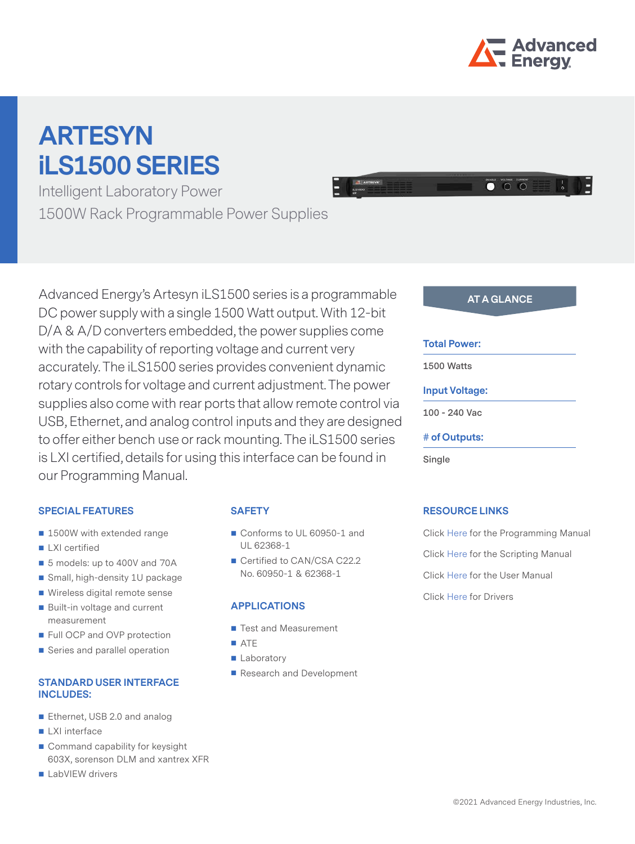

# **ARTESYN iLS1500 SERIES**

Intelligent Laboratory Power 1500W Rack Programmable Power Supplies



# **SPECIAL FEATURES**

- 1500W with extended range
- **LXI** certified
- 5 models: up to 400V and 70A
- Small, high-density 1U package
- Wireless digital remote sense
- Built-in voltage and current measurement
- Full OCP and OVP protection
- Series and parallel operation

#### **STANDARD USER INTERFACE INCLUDES:**

- Ethernet, USB 2.0 and analog
- **LXI** interface
- Command capability for keysight 603X, sorenson DLM and xantrex XFR
- LabVIEW drivers

# **SAFETY**

- Conforms to UL 60950-1 and UL 62368-1
- Certified to CAN/CSA C22.2 No. 60950-1 & 62368-1

#### **APPLICATIONS**

- Test and Measurement
- **ATE**
- **Laboratory**
- Research and Development

 $\bullet$   $\circ$   $\circ$ 

#### **Total Power:**

**1500 Watts** 

#### **Input Voltage:**

**100 - 240 Vac**

#### **# of Outputs:**

**Single** 

# **RESOURCE LINKS**

Click [Here](https://artesyncom-prod.scdn8.secure.raxcdn.com/assets/ac-dc_bench_ils_series_-_progr1625564145_037.pdf) for the Programming Manual Click [Here](https://artesyncom-prod.scdn8.secure.raxcdn.com/assets/ac-dc_bench_ils_series_-_scrip1625564146_662.pdf) for the Scripting Manual Click [Here](https://artesyncom-prod.scdn8.secure.raxcdn.com/assets/ac-dc_ils1500_series_user_manu1625564151_006.pdf) for the User Manual Click [Here](https://www.artesyn.com/support/customer-resources/drivers) for Drivers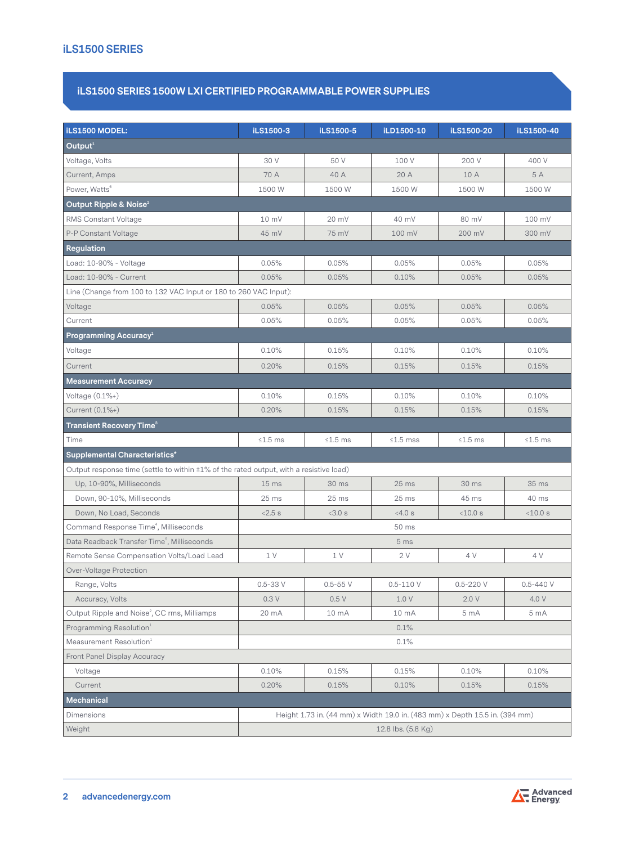# **iLS1500 SERIES**

# **iLS1500 SERIES 1500W LXI CERTIFIED PROGRAMMABLE POWER SUPPLIES**

| <b>iLS1500 MODEL:</b>                                                                        | iLS1500-3                                                                   | iLS1500-5   | iLD1500-10      | iLS1500-20      | iLS1500-40      |
|----------------------------------------------------------------------------------------------|-----------------------------------------------------------------------------|-------------|-----------------|-----------------|-----------------|
| Output <sup>1</sup>                                                                          |                                                                             |             |                 |                 |                 |
| Voltage, Volts                                                                               | 30 V                                                                        | 50 V        | 100 V           | 200 V           | 400 V           |
| Current, Amps                                                                                | 70 A                                                                        | 40 A        | 20 A            | 10 A            | 5 A             |
| Power, Watts <sup>6</sup>                                                                    | 1500 W                                                                      | 1500 W      | 1500 W          | 1500 W          | 1500 W          |
| Output Ripple & Noise <sup>2</sup>                                                           |                                                                             |             |                 |                 |                 |
| RMS Constant Voltage                                                                         | 10 mV                                                                       | 20 mV       | 40 mV           | 80 mV           | 100 mV          |
| P-P Constant Voltage                                                                         | 45 mV                                                                       | 75 mV       | 100 mV          | 200 mV          | 300 mV          |
| Regulation                                                                                   |                                                                             |             |                 |                 |                 |
| Load: 10-90% - Voltage                                                                       | 0.05%                                                                       | 0.05%       | 0.05%           | 0.05%           | 0.05%           |
| Load: 10-90% - Current                                                                       | 0.05%                                                                       | 0.05%       | 0.10%           | 0.05%           | 0.05%           |
| Line (Change from 100 to 132 VAC Input or 180 to 260 VAC Input):                             |                                                                             |             |                 |                 |                 |
| Voltage                                                                                      | 0.05%                                                                       | 0.05%       | 0.05%           | 0.05%           | 0.05%           |
| Current                                                                                      | 0.05%                                                                       | 0.05%       | 0.05%           | 0.05%           | 0.05%           |
| Programming Accuracy <sup>1</sup>                                                            |                                                                             |             |                 |                 |                 |
| Voltage                                                                                      | 0.10%                                                                       | 0.15%       | 0.10%           | 0.10%           | 0.10%           |
| Current                                                                                      | 0.20%                                                                       | 0.15%       | 0.15%           | 0.15%           | 0.15%           |
| <b>Measurement Accuracy</b>                                                                  |                                                                             |             |                 |                 |                 |
| Voltage $(0.1\%+)$                                                                           | 0.10%                                                                       | 0.15%       | 0.10%           | 0.10%           | 0.10%           |
| Current (0.1%+)                                                                              | 0.20%                                                                       | 0.15%       | 0.15%           | 0.15%           | 0.15%           |
| Transient Recovery Time $^{\circ}$                                                           |                                                                             |             |                 |                 |                 |
| Time                                                                                         | $≤1.5$ ms                                                                   | $≤1.5$ ms   | $≤1.5$ mss      | $\leq 1.5$ ms   | $≤1.5$ ms       |
| Supplemental Characteristics*                                                                |                                                                             |             |                 |                 |                 |
| Output response time (settle to within $\pm 1\%$ of the rated output, with a resistive load) |                                                                             |             |                 |                 |                 |
| Up, 10-90%, Milliseconds                                                                     | 15 <sub>ms</sub>                                                            | 30 ms       | $25$ ms         | 30 ms           | 35 ms           |
| Down, 90-10%, Milliseconds                                                                   | 25 ms                                                                       | $25$ ms     | $25$ ms         | 45 ms           | 40 ms           |
| Down, No Load, Seconds                                                                       | $<2.5$ s                                                                    | <3.0 s      | <4.0 s          | <10.0 s         | $<$ 10.0 s      |
| Command Response Time <sup>4</sup> , Milliseconds                                            | 50 ms                                                                       |             |                 |                 |                 |
| Data Readback Transfer Time <sup>5</sup> , Milliseconds                                      |                                                                             |             | 5 <sub>ms</sub> |                 |                 |
| Remote Sense Compensation Volts/Load Lead                                                    | 1 V                                                                         | 1 V         | 2V              | 4 V             | 4V              |
| Over-Voltage Protection                                                                      |                                                                             |             |                 |                 |                 |
| Range, Volts                                                                                 | $0.5 - 33V$                                                                 | $0.5 - 55V$ | $0.5 - 110V$    | $0.5 - 220V$    | $0.5 - 440V$    |
| Accuracy, Volts                                                                              | 0.3V                                                                        | 0.5V        | 1.0V            | 2.0V            | 4.0 V           |
| Output Ripple and Noise <sup>2</sup> , CC rms, Milliamps                                     | 20 mA                                                                       | 10 mA       | 10 mA           | 5 <sub>mA</sub> | 5 <sub>mA</sub> |
| Programming Resolution <sup>1</sup>                                                          | 0.1%                                                                        |             |                 |                 |                 |
| Measurement Resolution <sup>1</sup>                                                          | 0.1%                                                                        |             |                 |                 |                 |
| Front Panel Display Accuracy                                                                 |                                                                             |             |                 |                 |                 |
| Voltage                                                                                      | 0.10%                                                                       | 0.15%       | 0.15%           | 0.10%           | 0.10%           |
| Current                                                                                      | 0.20%                                                                       | 0.15%       | 0.10%           | 0.15%           | 0.15%           |
| Mechanical                                                                                   |                                                                             |             |                 |                 |                 |
| Dimensions                                                                                   | Height 1.73 in. (44 mm) x Width 19.0 in. (483 mm) x Depth 15.5 in. (394 mm) |             |                 |                 |                 |
| Weight                                                                                       | 12.8 lbs. (5.8 Kg)                                                          |             |                 |                 |                 |

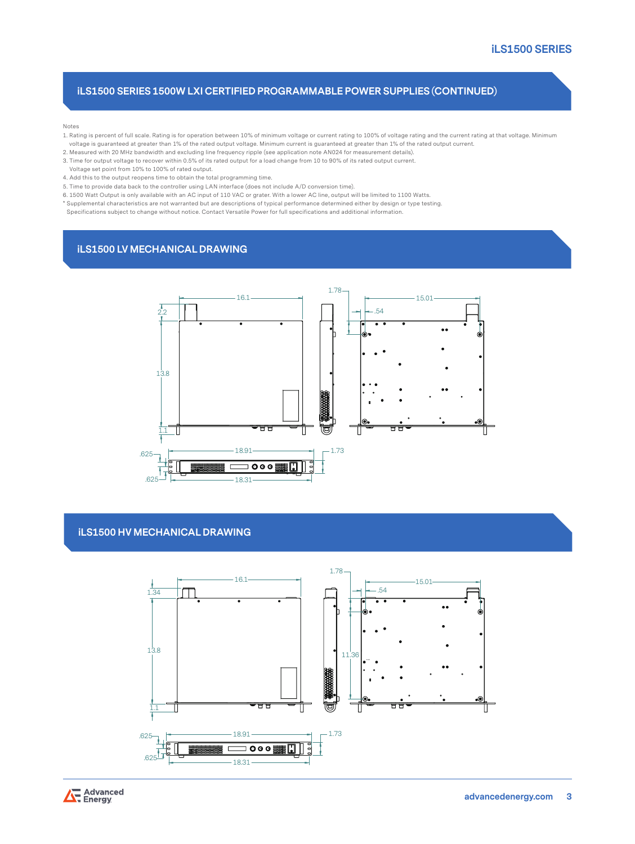# **iLS1500 SERIES 1500W LXI CERTIFIED PROGRAMMABLE POWER SUPPLIES (CONTINUED)**

Notes

- 1. Rating is percent of full scale. Rating is for operation between 10% of minimum voltage or current rating to 100% of voltage rating and the current rating at that voltage. Minimum voltage is guaranteed at greater than 1% of the rated output voltage. Minimum current is guaranteed at greater than 1% of the rated output current.
- 2. Measured with 20 MHz bandwidth and excluding line frequency ripple (see application note AN024 for measurement details).
- 3. Time for output voltage to recover within 0.5% of its rated output for a load change from 10 to 90% of its rated output current.
- Voltage set point from 10% to 100% of rated output.
- 4. Add this to the output reopens time to obtain the total programming time.
- 5. Time to provide data back to the controller using LAN interface (does not include A/D conversion time).
- 6. 1500 Watt Output is only available with an AC input of 110 VAC or grater. With a lower AC line, output will be limited to 1100 Watts. \* Supplemental characteristics are not warranted but are descriptions of typical performance determined either by design or type testing.
- Specifications subject to change without notice. Contact Versatile Power for full specifications and additional information.

# **iLS1500 LV MECHANICAL DRAWING**



### **iLS1500 HV MECHANICAL DRAWING**